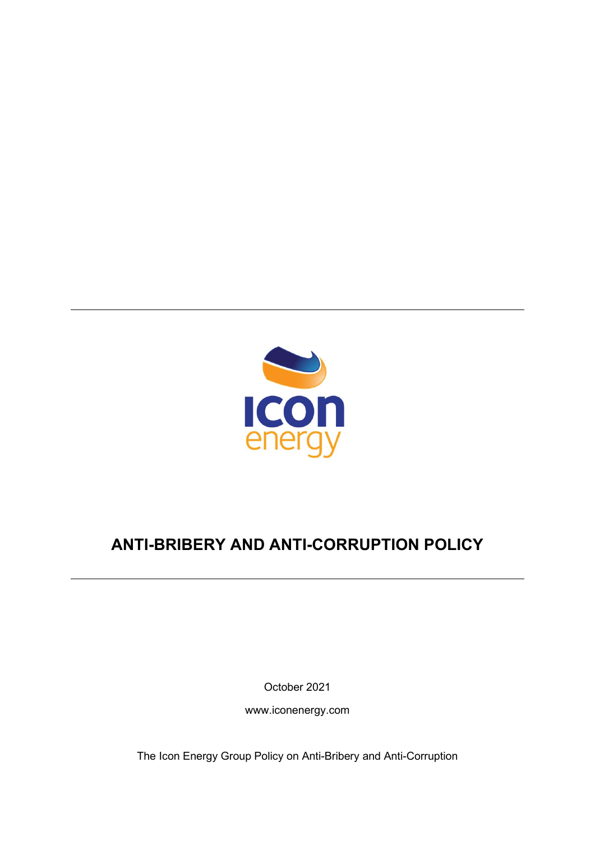

# **ANTI-BRIBERY AND ANTI-CORRUPTION POLICY**

October 2021

www.iconenergy.com

The Icon Energy Group Policy on Anti-Bribery and Anti-Corruption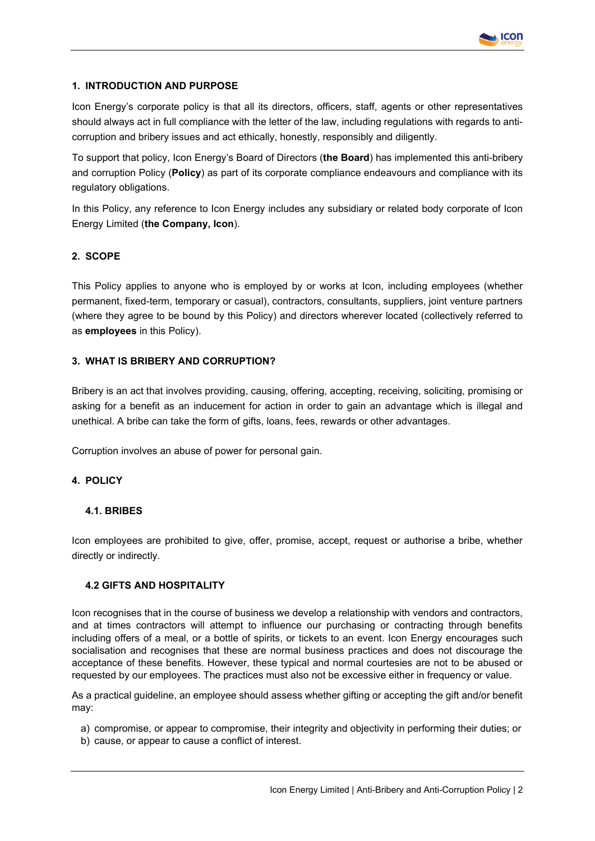

# **1. INTRODUCTION AND PURPOSE**

Icon Energy's corporate policy is that all its directors, officers, staff, agents or other representatives should always act in full compliance with the letter of the law, including regulations with regards to anticorruption and bribery issues and act ethically, honestly, responsibly and diligently.

To support that policy, Icon Energy's Board of Directors (**the Board**) has implemented this anti-bribery and corruption Policy (**Policy**) as part of its corporate compliance endeavours and compliance with its regulatory obligations.

In this Policy, any reference to Icon Energy includes any subsidiary or related body corporate of Icon Energy Limited (**the Company, Icon**).

# **2. SCOPE**

This Policy applies to anyone who is employed by or works at Icon, including employees (whether permanent, fixed-term, temporary or casual), contractors, consultants, suppliers, joint venture partners (where they agree to be bound by this Policy) and directors wherever located (collectively referred to as **employees** in this Policy).

## **3. WHAT IS BRIBERY AND CORRUPTION?**

Bribery is an act that involves providing, causing, offering, accepting, receiving, soliciting, promising or asking for a benefit as an inducement for action in order to gain an advantage which is illegal and unethical. A bribe can take the form of gifts, loans, fees, rewards or other advantages.

Corruption involves an abuse of power for personal gain.

# **4. POLICY**

## **4.1. BRIBES**

Icon employees are prohibited to give, offer, promise, accept, request or authorise a bribe, whether directly or indirectly.

## **4.2 GIFTS AND HOSPITALITY**

Icon recognises that in the course of business we develop a relationship with vendors and contractors, and at times contractors will attempt to influence our purchasing or contracting through benefits including offers of a meal, or a bottle of spirits, or tickets to an event. Icon Energy encourages such socialisation and recognises that these are normal business practices and does not discourage the acceptance of these benefits. However, these typical and normal courtesies are not to be abused or requested by our employees. The practices must also not be excessive either in frequency or value.

As a practical guideline, an employee should assess whether gifting or accepting the gift and/or benefit may:

- a) compromise, or appear to compromise, their integrity and objectivity in performing their duties; or
- b) cause, or appear to cause a conflict of interest.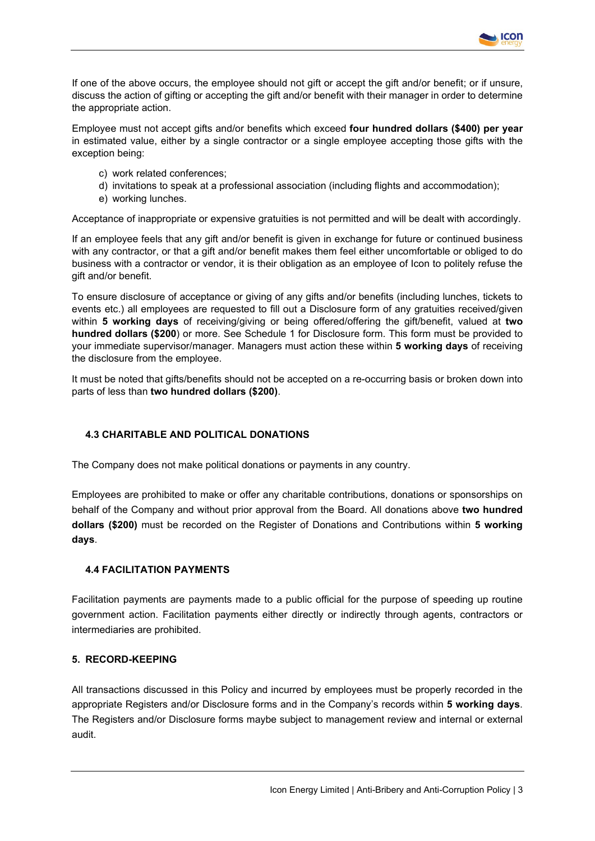If one of the above occurs, the employee should not gift or accept the gift and/or benefit; or if unsure, discuss the action of gifting or accepting the gift and/or benefit with their manager in order to determine the appropriate action.

**ICON** 

Employee must not accept gifts and/or benefits which exceed **four hundred dollars (\$400) per year** in estimated value, either by a single contractor or a single employee accepting those gifts with the exception being:

- c) work related conferences;
- d) invitations to speak at a professional association (including flights and accommodation);
- e) working lunches.

Acceptance of inappropriate or expensive gratuities is not permitted and will be dealt with accordingly.

If an employee feels that any gift and/or benefit is given in exchange for future or continued business with any contractor, or that a gift and/or benefit makes them feel either uncomfortable or obliged to do business with a contractor or vendor, it is their obligation as an employee of Icon to politely refuse the gift and/or benefit.

To ensure disclosure of acceptance or giving of any gifts and/or benefits (including lunches, tickets to events etc.) all employees are requested to fill out a Disclosure form of any gratuities received/given within **5 working days** of receiving/giving or being offered/offering the gift/benefit, valued at **two hundred dollars (\$200**) or more. See Schedule 1 for Disclosure form. This form must be provided to your immediate supervisor/manager. Managers must action these within **5 working days** of receiving the disclosure from the employee.

It must be noted that gifts/benefits should not be accepted on a re-occurring basis or broken down into parts of less than **two hundred dollars (\$200)**.

# **4.3 CHARITABLE AND POLITICAL DONATIONS**

The Company does not make political donations or payments in any country.

Employees are prohibited to make or offer any charitable contributions, donations or sponsorships on behalf of the Company and without prior approval from the Board. All donations above **two hundred dollars (\$200)** must be recorded on the Register of Donations and Contributions within **5 working days**.

## **4.4 FACILITATION PAYMENTS**

Facilitation payments are payments made to a public official for the purpose of speeding up routine government action. Facilitation payments either directly or indirectly through agents, contractors or intermediaries are prohibited.

## **5. RECORD-KEEPING**

All transactions discussed in this Policy and incurred by employees must be properly recorded in the appropriate Registers and/or Disclosure forms and in the Company's records within **5 working days**. The Registers and/or Disclosure forms maybe subject to management review and internal or external audit.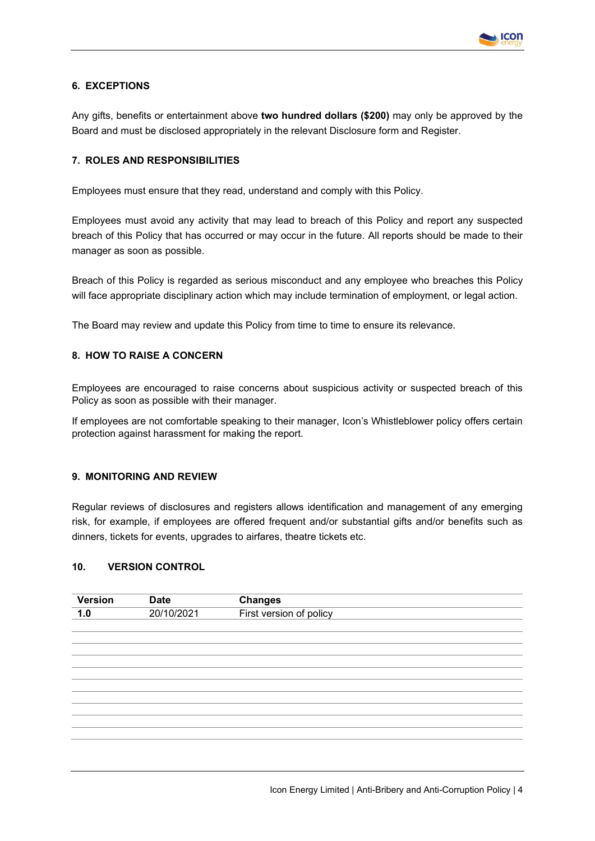

# **6. EXCEPTIONS**

Any gifts, benefits or entertainment above **two hundred dollars (\$200)** may only be approved by the Board and must be disclosed appropriately in the relevant Disclosure form and Register.

# **7. ROLES AND RESPONSIBILITIES**

Employees must ensure that they read, understand and comply with this Policy.

Employees must avoid any activity that may lead to breach of this Policy and report any suspected breach of this Policy that has occurred or may occur in the future. All reports should be made to their manager as soon as possible.

Breach of this Policy is regarded as serious misconduct and any employee who breaches this Policy will face appropriate disciplinary action which may include termination of employment, or legal action.

The Board may review and update this Policy from time to time to ensure its relevance.

## **8. HOW TO RAISE A CONCERN**

Employees are encouraged to raise concerns about suspicious activity or suspected breach of this Policy as soon as possible with their manager.

If employees are not comfortable speaking to their manager, Icon's Whistleblower policy offers certain protection against harassment for making the report.

#### **9. MONITORING AND REVIEW**

Regular reviews of disclosures and registers allows identification and management of any emerging risk, for example, if employees are offered frequent and/or substantial gifts and/or benefits such as dinners, tickets for events, upgrades to airfares, theatre tickets etc.

# **10. VERSION CONTROL**

| <b>Version</b> | <b>Date</b> | <b>Changes</b>          |
|----------------|-------------|-------------------------|
| 1.0            | 20/10/2021  | First version of policy |
|                |             |                         |
|                |             |                         |
|                |             |                         |
|                |             |                         |
|                |             |                         |
|                |             |                         |
|                |             |                         |
|                |             |                         |
|                |             |                         |
|                |             |                         |
|                |             |                         |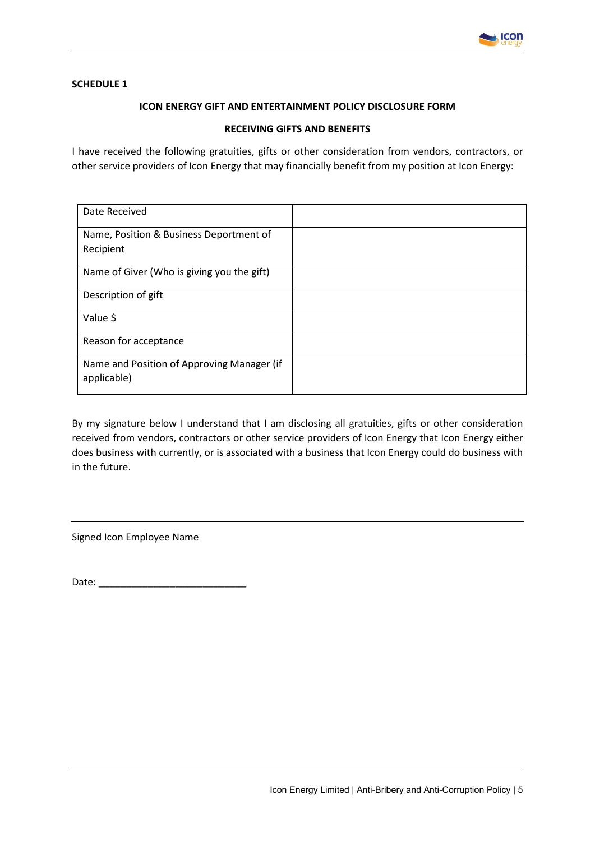

# **SCHEDULE 1**

# **ICON ENERGY GIFT AND ENTERTAINMENT POLICY DISCLOSURE FORM**

## **RECEIVING GIFTS AND BENEFITS**

I have received the following gratuities, gifts or other consideration from vendors, contractors, or other service providers of Icon Energy that may financially benefit from my position at Icon Energy:

| Date Received                                             |  |
|-----------------------------------------------------------|--|
|                                                           |  |
| Name, Position & Business Deportment of                   |  |
| Recipient                                                 |  |
| Name of Giver (Who is giving you the gift)                |  |
| Description of gift                                       |  |
| Value \$                                                  |  |
| Reason for acceptance                                     |  |
| Name and Position of Approving Manager (if<br>applicable) |  |

By my signature below I understand that I am disclosing all gratuities, gifts or other consideration received from vendors, contractors or other service providers of Icon Energy that Icon Energy either does business with currently, or is associated with a business that Icon Energy could do business with in the future.

Signed Icon Employee Name

Date: \_\_\_\_\_\_\_\_\_\_\_\_\_\_\_\_\_\_\_\_\_\_\_\_\_\_\_